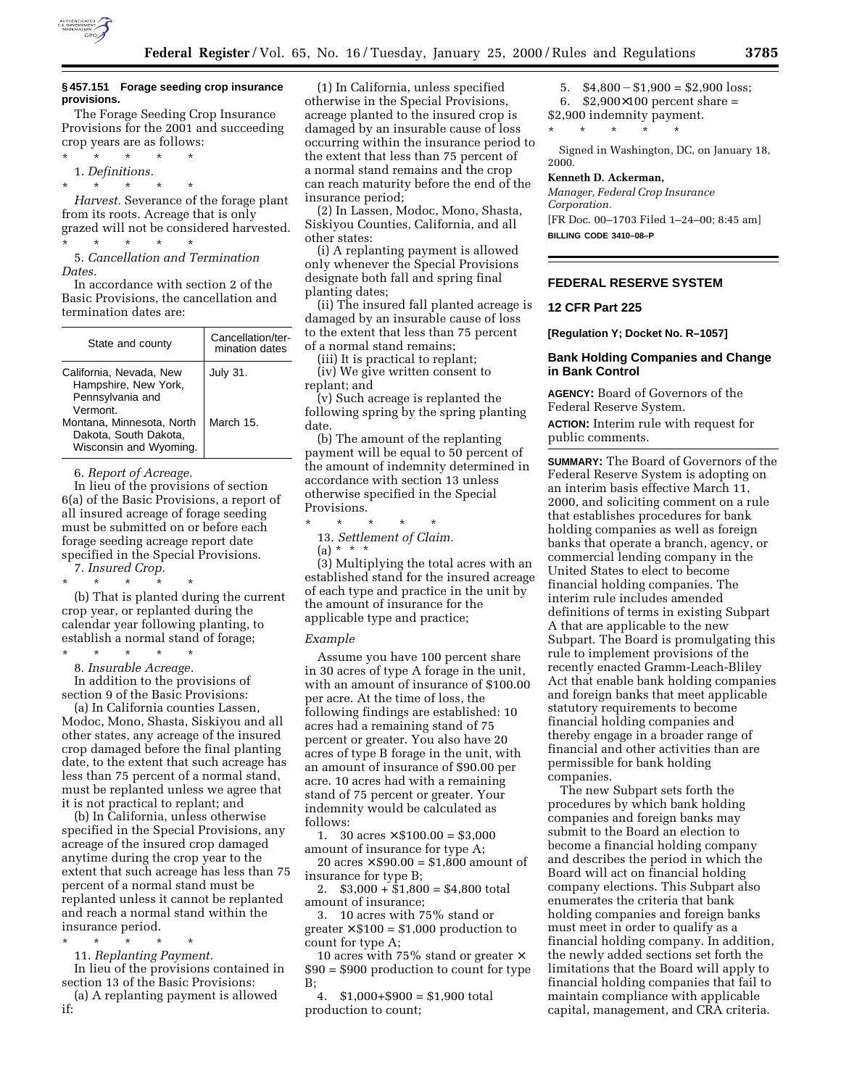

#### **§ 457.151 Forage seeding crop insurance provisions.**

The Forage Seeding Crop Insurance Provisions for the 2001 and succeeding crop years are as follows:

\* \* \* \* \* 1. *Definitions.*

\* \* \* \* \*

*Harvest.* Severance of the forage plant from its roots. Acreage that is only grazed will not be considered harvested.

\* \* \* \* \* 5. *Cancellation and Termination Dates.*

In accordance with section 2 of the Basic Provisions, the cancellation and termination dates are:

| State and county                                                                | Cancellation/ter-<br>mination dates |
|---------------------------------------------------------------------------------|-------------------------------------|
| California, Nevada, New<br>Hampshire, New York,<br>Pennsylvania and<br>Vermont. | <b>July 31.</b>                     |
| Montana, Minnesota, North<br>Dakota, South Dakota,<br>Wisconsin and Wyoming.    | March 15.                           |

6. *Report of Acreage.*

In lieu of the provisions of section 6(a) of the Basic Provisions, a report of all insured acreage of forage seeding must be submitted on or before each forage seeding acreage report date specified in the Special Provisions. 7. *Insured Crop.*

\* \* \* \* \* (b) That is planted during the current crop year, or replanted during the calendar year following planting, to establish a normal stand of forage;

\* \* \* \* \*

8. *Insurable Acreage.*

In addition to the provisions of section 9 of the Basic Provisions:

(a) In California counties Lassen, Modoc, Mono, Shasta, Siskiyou and all other states, any acreage of the insured crop damaged before the final planting date, to the extent that such acreage has less than 75 percent of a normal stand, must be replanted unless we agree that it is not practical to replant; and

(b) In California, unless otherwise specified in the Special Provisions, any acreage of the insured crop damaged anytime during the crop year to the extent that such acreage has less than 75 percent of a normal stand must be replanted unless it cannot be replanted and reach a normal stand within the insurance period.

\* \* \* \* \*

11. *Replanting Payment.*

In lieu of the provisions contained in section 13 of the Basic Provisions:

(a) A replanting payment is allowed if:

(1) In California, unless specified otherwise in the Special Provisions, acreage planted to the insured crop is damaged by an insurable cause of loss occurring within the insurance period to the extent that less than 75 percent of a normal stand remains and the crop can reach maturity before the end of the insurance period;

(2) In Lassen, Modoc, Mono, Shasta, Siskiyou Counties, California, and all other states:

(i) A replanting payment is allowed only whenever the Special Provisions designate both fall and spring final planting dates;

(ii) The insured fall planted acreage is damaged by an insurable cause of loss to the extent that less than 75 percent of a normal stand remains;

(iii) It is practical to replant;

(iv) We give written consent to replant; and

(v) Such acreage is replanted the following spring by the spring planting date.

(b) The amount of the replanting payment will be equal to 50 percent of the amount of indemnity determined in accordance with section 13 unless otherwise specified in the Special Provisions.

\* \* \* \* \*

13. *Settlement of Claim.* (a) \* \* \*

(3) Multiplying the total acres with an established stand for the insured acreage of each type and practice in the unit by the amount of insurance for the applicable type and practice;

#### *Example*

Assume you have 100 percent share in 30 acres of type A forage in the unit, with an amount of insurance of \$100.00 per acre. At the time of loss, the following findings are established: 10 acres had a remaining stand of 75 percent or greater. You also have 20 acres of type B forage in the unit, with an amount of insurance of \$90.00 per acre. 10 acres had with a remaining stand of 75 percent or greater. Your indemnity would be calculated as follows:

1. 30  $\arccos \times \$100.00 = \$3,000$ amount of insurance for type A;

20 acres  $\times$  \$90.00 = \$1,800 amount of insurance for type B;

2.  $$3,000 + $1,800 = $4,800$  total amount of insurance;

3. 10 acres with 75% stand or greater  $\times$  \$100 = \$1,000 production to count for type A;

10 acres with 75% stand or greater  $\times$ \$90 = \$900 production to count for type B;

4. \$1,000+\$900 = \$1,900 total production to count;

5.  $$4,800 - $1,900 = $2,900$  loss; 6. \$2,900×100 percent share = \$2,900 indemnity payment.

\* \* \* \* \*

Signed in Washington, DC, on January 18, 2000.

#### **Kenneth D. Ackerman,**

*Manager, Federal Crop Insurance Corporation.* [FR Doc. 00–1703 Filed 1–24–00; 8:45 am] **BILLING CODE 3410–08–P**

**FEDERAL RESERVE SYSTEM**

### **12 CFR Part 225**

**[Regulation Y; Docket No. R–1057]**

### **Bank Holding Companies and Change in Bank Control**

**AGENCY:** Board of Governors of the Federal Reserve System. **ACTION:** Interim rule with request for public comments.

**SUMMARY:** The Board of Governors of the Federal Reserve System is adopting on an interim basis effective March 11, 2000, and soliciting comment on a rule that establishes procedures for bank holding companies as well as foreign banks that operate a branch, agency, or commercial lending company in the United States to elect to become financial holding companies. The interim rule includes amended definitions of terms in existing Subpart A that are applicable to the new Subpart. The Board is promulgating this rule to implement provisions of the recently enacted Gramm-Leach-Bliley Act that enable bank holding companies and foreign banks that meet applicable statutory requirements to become financial holding companies and thereby engage in a broader range of financial and other activities than are permissible for bank holding companies.

The new Subpart sets forth the procedures by which bank holding companies and foreign banks may submit to the Board an election to become a financial holding company and describes the period in which the Board will act on financial holding company elections. This Subpart also enumerates the criteria that bank holding companies and foreign banks must meet in order to qualify as a financial holding company. In addition, the newly added sections set forth the limitations that the Board will apply to financial holding companies that fail to maintain compliance with applicable capital, management, and CRA criteria.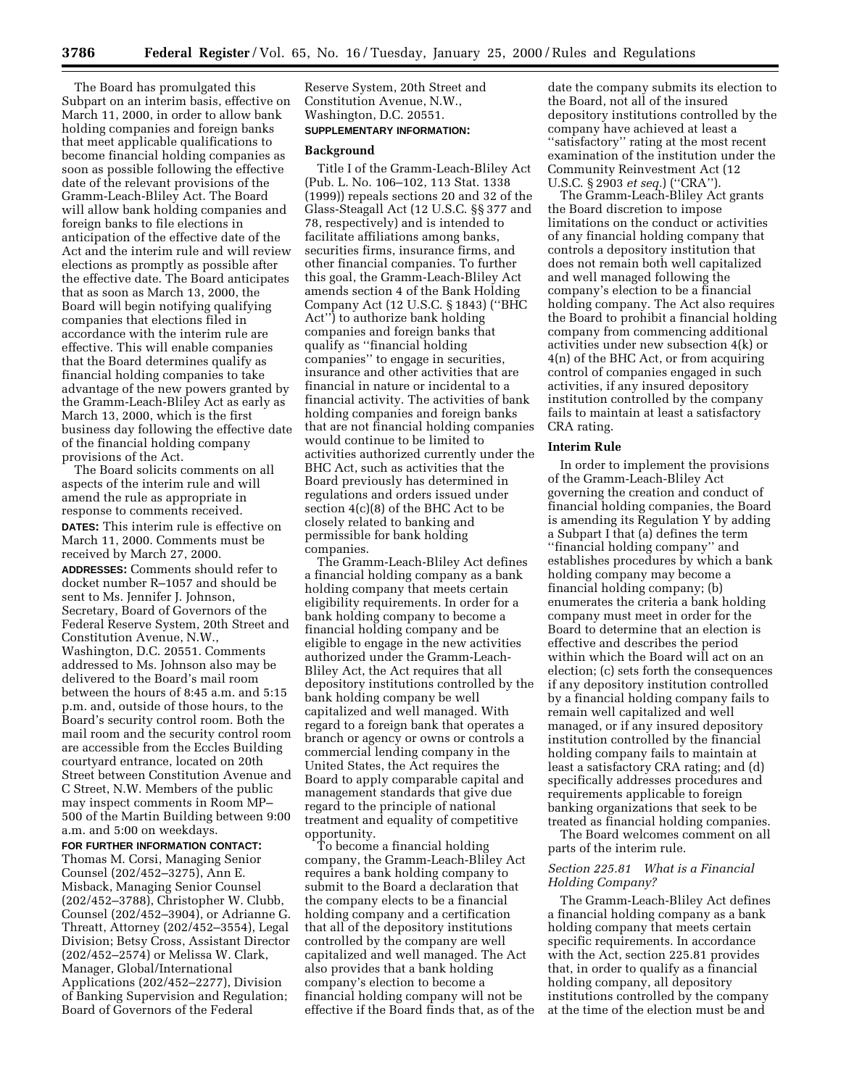The Board has promulgated this Subpart on an interim basis, effective on March 11, 2000, in order to allow bank holding companies and foreign banks that meet applicable qualifications to become financial holding companies as soon as possible following the effective date of the relevant provisions of the Gramm-Leach-Bliley Act. The Board will allow bank holding companies and foreign banks to file elections in anticipation of the effective date of the Act and the interim rule and will review elections as promptly as possible after the effective date. The Board anticipates that as soon as March 13, 2000, the Board will begin notifying qualifying companies that elections filed in accordance with the interim rule are effective. This will enable companies that the Board determines qualify as financial holding companies to take advantage of the new powers granted by the Gramm-Leach-Bliley Act as early as March 13, 2000, which is the first business day following the effective date of the financial holding company provisions of the Act.

The Board solicits comments on all aspects of the interim rule and will amend the rule as appropriate in response to comments received. **DATES:** This interim rule is effective on March 11, 2000. Comments must be received by March 27, 2000. **ADDRESSES:** Comments should refer to docket number R–1057 and should be sent to Ms. Jennifer J. Johnson, Secretary, Board of Governors of the Federal Reserve System, 20th Street and Constitution Avenue, N.W., Washington, D.C. 20551. Comments addressed to Ms. Johnson also may be delivered to the Board's mail room between the hours of 8:45 a.m. and 5:15 p.m. and, outside of those hours, to the Board's security control room. Both the mail room and the security control room are accessible from the Eccles Building courtyard entrance, located on 20th Street between Constitution Avenue and C Street, N.W. Members of the public may inspect comments in Room MP– 500 of the Martin Building between 9:00 a.m. and 5:00 on weekdays.

#### **FOR FURTHER INFORMATION CONTACT:**

Thomas M. Corsi, Managing Senior Counsel (202/452–3275), Ann E. Misback, Managing Senior Counsel (202/452–3788), Christopher W. Clubb, Counsel (202/452–3904), or Adrianne G. Threatt, Attorney (202/452–3554), Legal Division; Betsy Cross, Assistant Director (202/452–2574) or Melissa W. Clark, Manager, Global/International Applications (202/452–2277), Division of Banking Supervision and Regulation; Board of Governors of the Federal

Reserve System, 20th Street and Constitution Avenue, N.W., Washington, D.C. 20551.

# **SUPPLEMENTARY INFORMATION:**

#### **Background**

Title I of the Gramm-Leach-Bliley Act (Pub. L. No. 106–102, 113 Stat. 1338 (1999)) repeals sections 20 and 32 of the Glass-Steagall Act (12 U.S.C. §§ 377 and 78, respectively) and is intended to facilitate affiliations among banks, securities firms, insurance firms, and other financial companies. To further this goal, the Gramm-Leach-Bliley Act amends section 4 of the Bank Holding Company Act (12 U.S.C. § 1843) (''BHC Act'') to authorize bank holding companies and foreign banks that qualify as ''financial holding companies'' to engage in securities, insurance and other activities that are financial in nature or incidental to a financial activity. The activities of bank holding companies and foreign banks that are not financial holding companies would continue to be limited to activities authorized currently under the BHC Act, such as activities that the Board previously has determined in regulations and orders issued under section 4(c)(8) of the BHC Act to be closely related to banking and permissible for bank holding companies.

The Gramm-Leach-Bliley Act defines a financial holding company as a bank holding company that meets certain eligibility requirements. In order for a bank holding company to become a financial holding company and be eligible to engage in the new activities authorized under the Gramm-Leach-Bliley Act, the Act requires that all depository institutions controlled by the bank holding company be well capitalized and well managed. With regard to a foreign bank that operates a branch or agency or owns or controls a commercial lending company in the United States, the Act requires the Board to apply comparable capital and management standards that give due regard to the principle of national treatment and equality of competitive opportunity.

To become a financial holding company, the Gramm-Leach-Bliley Act requires a bank holding company to submit to the Board a declaration that the company elects to be a financial holding company and a certification that all of the depository institutions controlled by the company are well capitalized and well managed. The Act also provides that a bank holding company's election to become a financial holding company will not be effective if the Board finds that, as of the

date the company submits its election to the Board, not all of the insured depository institutions controlled by the company have achieved at least a ''satisfactory'' rating at the most recent examination of the institution under the Community Reinvestment Act (12 U.S.C. § 2903 *et seq.*) (''CRA'').

The Gramm-Leach-Bliley Act grants the Board discretion to impose limitations on the conduct or activities of any financial holding company that controls a depository institution that does not remain both well capitalized and well managed following the company's election to be a financial holding company. The Act also requires the Board to prohibit a financial holding company from commencing additional activities under new subsection 4(k) or 4(n) of the BHC Act, or from acquiring control of companies engaged in such activities, if any insured depository institution controlled by the company fails to maintain at least a satisfactory CRA rating.

### **Interim Rule**

In order to implement the provisions of the Gramm-Leach-Bliley Act governing the creation and conduct of financial holding companies, the Board is amending its Regulation Y by adding a Subpart I that (a) defines the term ''financial holding company'' and establishes procedures by which a bank holding company may become a financial holding company; (b) enumerates the criteria a bank holding company must meet in order for the Board to determine that an election is effective and describes the period within which the Board will act on an election; (c) sets forth the consequences if any depository institution controlled by a financial holding company fails to remain well capitalized and well managed, or if any insured depository institution controlled by the financial holding company fails to maintain at least a satisfactory CRA rating; and (d) specifically addresses procedures and requirements applicable to foreign banking organizations that seek to be treated as financial holding companies.

The Board welcomes comment on all parts of the interim rule.

## *Section 225.81 What is a Financial Holding Company?*

The Gramm-Leach-Bliley Act defines a financial holding company as a bank holding company that meets certain specific requirements. In accordance with the Act, section 225.81 provides that, in order to qualify as a financial holding company, all depository institutions controlled by the company at the time of the election must be and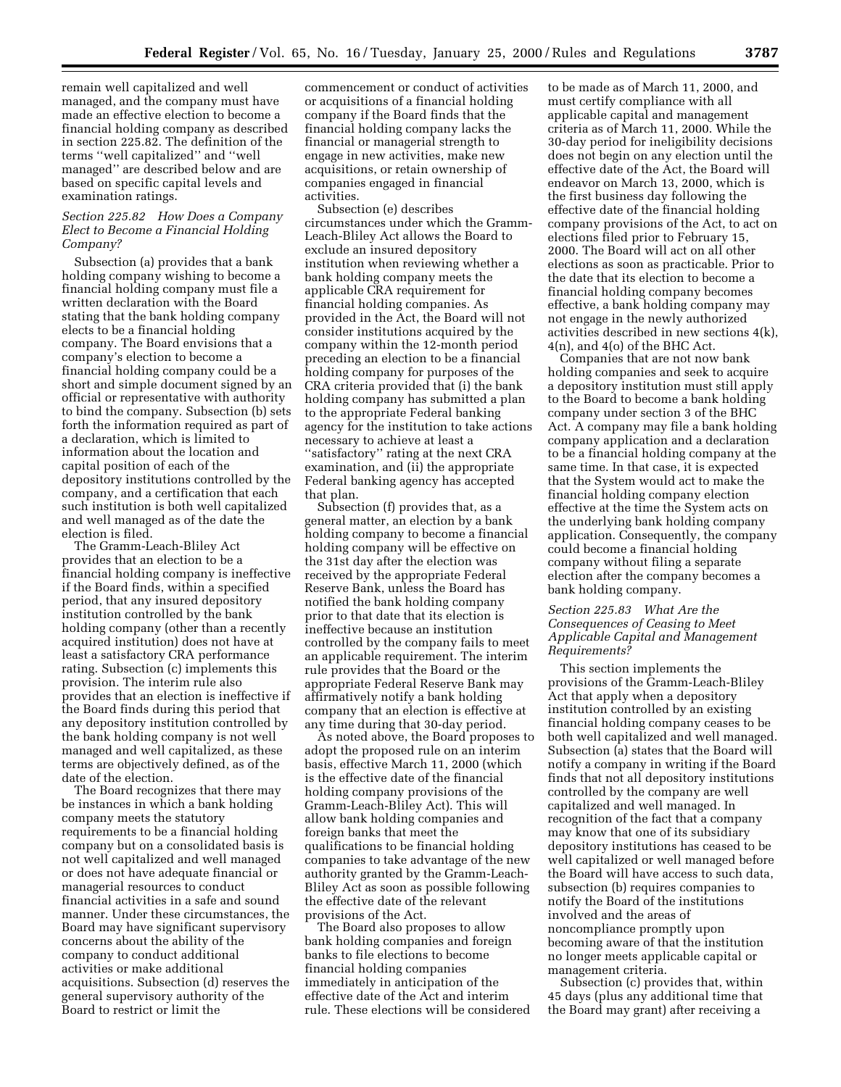remain well capitalized and well managed, and the company must have made an effective election to become a financial holding company as described in section 225.82. The definition of the terms ''well capitalized'' and ''well managed'' are described below and are based on specific capital levels and examination ratings.

## *Section 225.82 How Does a Company Elect to Become a Financial Holding Company?*

Subsection (a) provides that a bank holding company wishing to become a financial holding company must file a written declaration with the Board stating that the bank holding company elects to be a financial holding company. The Board envisions that a company's election to become a financial holding company could be a short and simple document signed by an official or representative with authority to bind the company. Subsection (b) sets forth the information required as part of a declaration, which is limited to information about the location and capital position of each of the depository institutions controlled by the company, and a certification that each such institution is both well capitalized and well managed as of the date the election is filed.

The Gramm-Leach-Bliley Act provides that an election to be a financial holding company is ineffective if the Board finds, within a specified period, that any insured depository institution controlled by the bank holding company (other than a recently acquired institution) does not have at least a satisfactory CRA performance rating. Subsection (c) implements this provision. The interim rule also provides that an election is ineffective if the Board finds during this period that any depository institution controlled by the bank holding company is not well managed and well capitalized, as these terms are objectively defined, as of the date of the election.

The Board recognizes that there may be instances in which a bank holding company meets the statutory requirements to be a financial holding company but on a consolidated basis is not well capitalized and well managed or does not have adequate financial or managerial resources to conduct financial activities in a safe and sound manner. Under these circumstances, the Board may have significant supervisory concerns about the ability of the company to conduct additional activities or make additional acquisitions. Subsection (d) reserves the general supervisory authority of the Board to restrict or limit the

commencement or conduct of activities or acquisitions of a financial holding company if the Board finds that the financial holding company lacks the financial or managerial strength to engage in new activities, make new acquisitions, or retain ownership of companies engaged in financial activities.

Subsection (e) describes circumstances under which the Gramm-Leach-Bliley Act allows the Board to exclude an insured depository institution when reviewing whether a bank holding company meets the applicable CRA requirement for financial holding companies. As provided in the Act, the Board will not consider institutions acquired by the company within the 12-month period preceding an election to be a financial holding company for purposes of the CRA criteria provided that (i) the bank holding company has submitted a plan to the appropriate Federal banking agency for the institution to take actions necessary to achieve at least a ''satisfactory'' rating at the next CRA examination, and (ii) the appropriate Federal banking agency has accepted that plan.

Subsection (f) provides that, as a general matter, an election by a bank holding company to become a financial holding company will be effective on the 31st day after the election was received by the appropriate Federal Reserve Bank, unless the Board has notified the bank holding company prior to that date that its election is ineffective because an institution controlled by the company fails to meet an applicable requirement. The interim rule provides that the Board or the appropriate Federal Reserve Bank may affirmatively notify a bank holding company that an election is effective at any time during that 30-day period.

As noted above, the Board proposes to adopt the proposed rule on an interim basis, effective March 11, 2000 (which is the effective date of the financial holding company provisions of the Gramm-Leach-Bliley Act). This will allow bank holding companies and foreign banks that meet the qualifications to be financial holding companies to take advantage of the new authority granted by the Gramm-Leach-Bliley Act as soon as possible following the effective date of the relevant provisions of the Act.

The Board also proposes to allow bank holding companies and foreign banks to file elections to become financial holding companies immediately in anticipation of the effective date of the Act and interim rule. These elections will be considered

to be made as of March 11, 2000, and must certify compliance with all applicable capital and management criteria as of March 11, 2000. While the 30-day period for ineligibility decisions does not begin on any election until the effective date of the Act, the Board will endeavor on March 13, 2000, which is the first business day following the effective date of the financial holding company provisions of the Act, to act on elections filed prior to February 15, 2000. The Board will act on all other elections as soon as practicable. Prior to the date that its election to become a financial holding company becomes effective, a bank holding company may not engage in the newly authorized activities described in new sections 4(k), 4(n), and 4(o) of the BHC Act.

Companies that are not now bank holding companies and seek to acquire a depository institution must still apply to the Board to become a bank holding company under section 3 of the BHC Act. A company may file a bank holding company application and a declaration to be a financial holding company at the same time. In that case, it is expected that the System would act to make the financial holding company election effective at the time the System acts on the underlying bank holding company application. Consequently, the company could become a financial holding company without filing a separate election after the company becomes a bank holding company.

# *Section 225.83 What Are the Consequences of Ceasing to Meet Applicable Capital and Management Requirements?*

This section implements the provisions of the Gramm-Leach-Bliley Act that apply when a depository institution controlled by an existing financial holding company ceases to be both well capitalized and well managed. Subsection (a) states that the Board will notify a company in writing if the Board finds that not all depository institutions controlled by the company are well capitalized and well managed. In recognition of the fact that a company may know that one of its subsidiary depository institutions has ceased to be well capitalized or well managed before the Board will have access to such data, subsection (b) requires companies to notify the Board of the institutions involved and the areas of noncompliance promptly upon becoming aware of that the institution no longer meets applicable capital or management criteria.

Subsection (c) provides that, within 45 days (plus any additional time that the Board may grant) after receiving a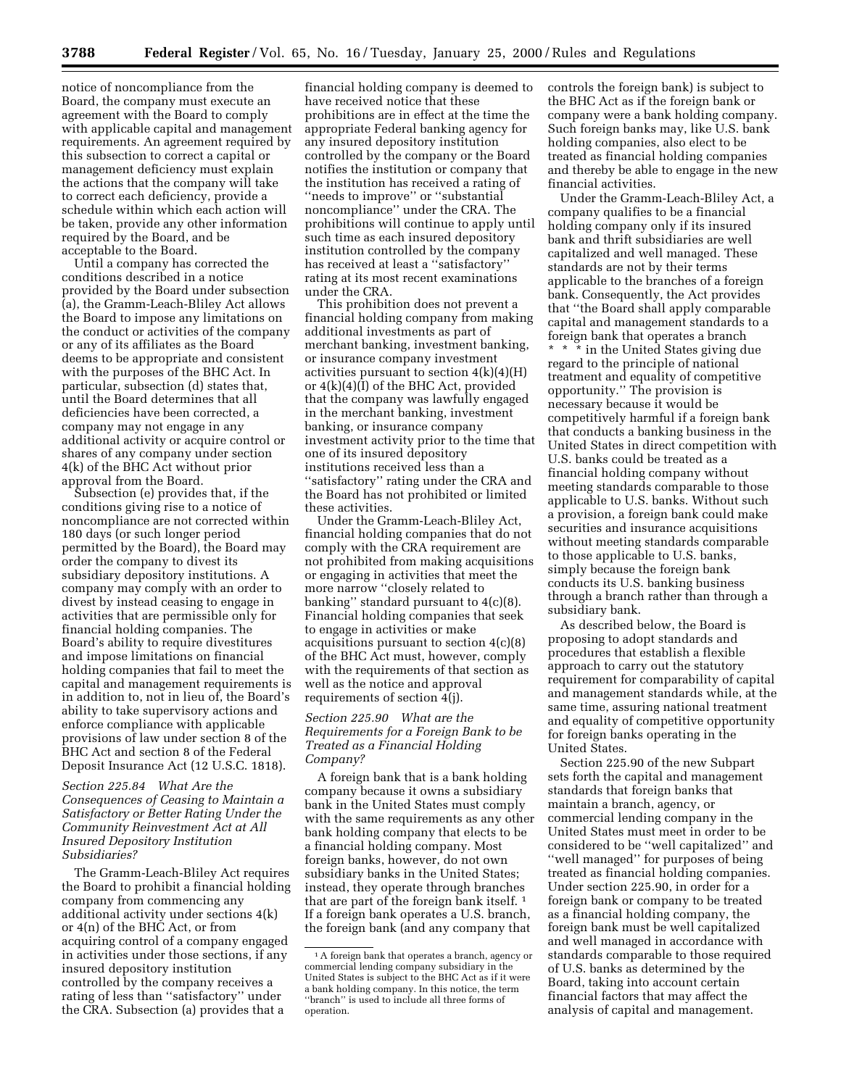notice of noncompliance from the Board, the company must execute an agreement with the Board to comply with applicable capital and management requirements. An agreement required by this subsection to correct a capital or management deficiency must explain the actions that the company will take to correct each deficiency, provide a schedule within which each action will be taken, provide any other information required by the Board, and be acceptable to the Board.

Until a company has corrected the conditions described in a notice provided by the Board under subsection (a), the Gramm-Leach-Bliley Act allows the Board to impose any limitations on the conduct or activities of the company or any of its affiliates as the Board deems to be appropriate and consistent with the purposes of the BHC Act. In particular, subsection (d) states that, until the Board determines that all deficiencies have been corrected, a company may not engage in any additional activity or acquire control or shares of any company under section 4(k) of the BHC Act without prior approval from the Board.

Subsection (e) provides that, if the conditions giving rise to a notice of noncompliance are not corrected within 180 days (or such longer period permitted by the Board), the Board may order the company to divest its subsidiary depository institutions. A company may comply with an order to divest by instead ceasing to engage in activities that are permissible only for financial holding companies. The Board's ability to require divestitures and impose limitations on financial holding companies that fail to meet the capital and management requirements is in addition to, not in lieu of, the Board's ability to take supervisory actions and enforce compliance with applicable provisions of law under section 8 of the BHC Act and section 8 of the Federal Deposit Insurance Act (12 U.S.C. 1818).

*Section 225.84 What Are the Consequences of Ceasing to Maintain a Satisfactory or Better Rating Under the Community Reinvestment Act at All Insured Depository Institution Subsidiaries?*

The Gramm-Leach-Bliley Act requires the Board to prohibit a financial holding company from commencing any additional activity under sections 4(k) or 4(n) of the BHC Act, or from acquiring control of a company engaged in activities under those sections, if any insured depository institution controlled by the company receives a rating of less than ''satisfactory'' under the CRA. Subsection (a) provides that a

financial holding company is deemed to have received notice that these prohibitions are in effect at the time the appropriate Federal banking agency for any insured depository institution controlled by the company or the Board notifies the institution or company that the institution has received a rating of "needs to improve" or "substantial noncompliance'' under the CRA. The prohibitions will continue to apply until such time as each insured depository institution controlled by the company has received at least a ''satisfactory'' rating at its most recent examinations under the CRA.

This prohibition does not prevent a financial holding company from making additional investments as part of merchant banking, investment banking, or insurance company investment activities pursuant to section  $4(k)(4)(H)$ or 4(k)(4)(I) of the BHC Act, provided that the company was lawfully engaged in the merchant banking, investment banking, or insurance company investment activity prior to the time that one of its insured depository institutions received less than a ''satisfactory'' rating under the CRA and the Board has not prohibited or limited these activities.

Under the Gramm-Leach-Bliley Act, financial holding companies that do not comply with the CRA requirement are not prohibited from making acquisitions or engaging in activities that meet the more narrow ''closely related to banking'' standard pursuant to 4(c)(8). Financial holding companies that seek to engage in activities or make acquisitions pursuant to section 4(c)(8) of the BHC Act must, however, comply with the requirements of that section as well as the notice and approval requirements of section 4(j).

# *Section 225.90 What are the Requirements for a Foreign Bank to be Treated as a Financial Holding Company?*

A foreign bank that is a bank holding company because it owns a subsidiary bank in the United States must comply with the same requirements as any other bank holding company that elects to be a financial holding company. Most foreign banks, however, do not own subsidiary banks in the United States; instead, they operate through branches that are part of the foreign bank itself. 1 If a foreign bank operates a U.S. branch, the foreign bank (and any company that

controls the foreign bank) is subject to the BHC Act as if the foreign bank or company were a bank holding company. Such foreign banks may, like U.S. bank holding companies, also elect to be treated as financial holding companies and thereby be able to engage in the new financial activities.

Under the Gramm-Leach-Bliley Act, a company qualifies to be a financial holding company only if its insured bank and thrift subsidiaries are well capitalized and well managed. These standards are not by their terms applicable to the branches of a foreign bank. Consequently, the Act provides that ''the Board shall apply comparable capital and management standards to a foreign bank that operates a branch \* \* \* in the United States giving due regard to the principle of national treatment and equality of competitive opportunity.'' The provision is necessary because it would be competitively harmful if a foreign bank that conducts a banking business in the United States in direct competition with U.S. banks could be treated as a financial holding company without meeting standards comparable to those applicable to U.S. banks. Without such a provision, a foreign bank could make securities and insurance acquisitions without meeting standards comparable to those applicable to U.S. banks, simply because the foreign bank conducts its U.S. banking business through a branch rather than through a subsidiary bank.

As described below, the Board is proposing to adopt standards and procedures that establish a flexible approach to carry out the statutory requirement for comparability of capital and management standards while, at the same time, assuring national treatment and equality of competitive opportunity for foreign banks operating in the United States.

Section 225.90 of the new Subpart sets forth the capital and management standards that foreign banks that maintain a branch, agency, or commercial lending company in the United States must meet in order to be considered to be ''well capitalized'' and ''well managed'' for purposes of being treated as financial holding companies. Under section 225.90, in order for a foreign bank or company to be treated as a financial holding company, the foreign bank must be well capitalized and well managed in accordance with standards comparable to those required of U.S. banks as determined by the Board, taking into account certain financial factors that may affect the analysis of capital and management.

<sup>&</sup>lt;sup>1</sup>A foreign bank that operates a branch, agency or commercial lending company subsidiary in the United States is subject to the BHC Act as if it were a bank holding company. In this notice, the term ''branch'' is used to include all three forms of operation.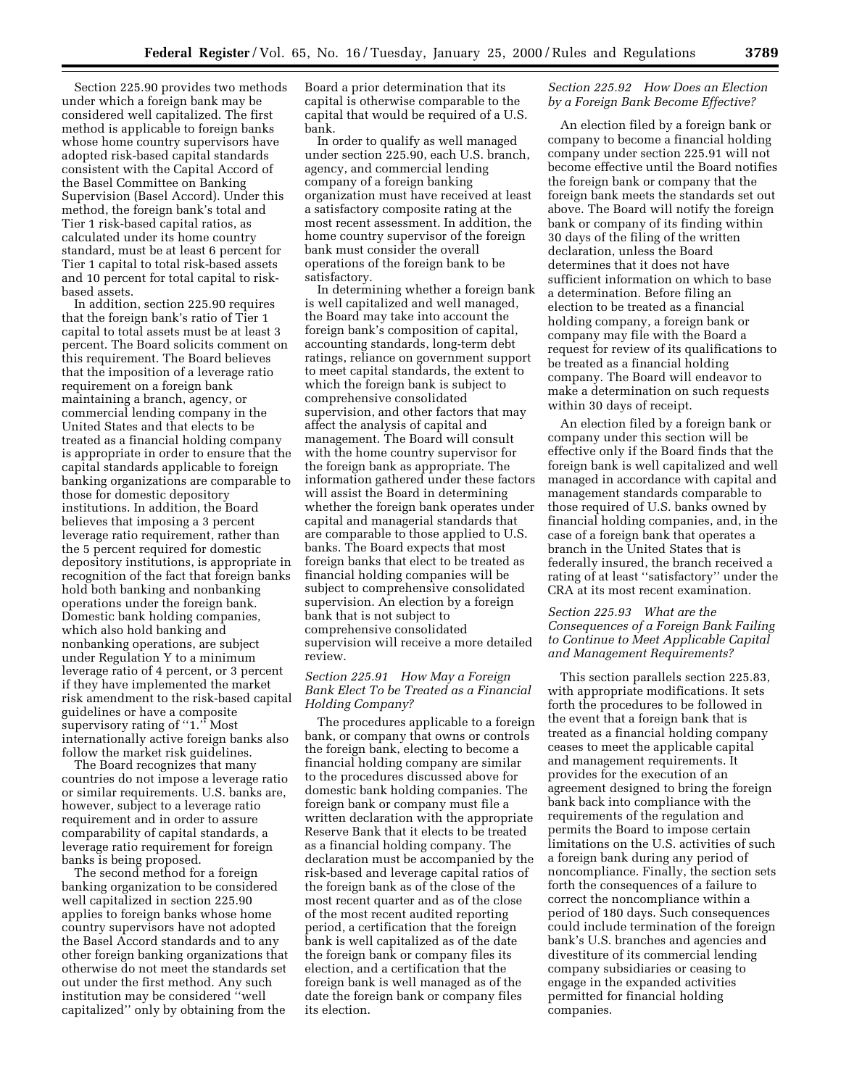Section 225.90 provides two methods under which a foreign bank may be considered well capitalized. The first method is applicable to foreign banks whose home country supervisors have adopted risk-based capital standards consistent with the Capital Accord of the Basel Committee on Banking Supervision (Basel Accord). Under this method, the foreign bank's total and Tier 1 risk-based capital ratios, as calculated under its home country standard, must be at least 6 percent for Tier 1 capital to total risk-based assets and 10 percent for total capital to riskbased assets.

In addition, section 225.90 requires that the foreign bank's ratio of Tier 1 capital to total assets must be at least 3 percent. The Board solicits comment on this requirement. The Board believes that the imposition of a leverage ratio requirement on a foreign bank maintaining a branch, agency, or commercial lending company in the United States and that elects to be treated as a financial holding company is appropriate in order to ensure that the capital standards applicable to foreign banking organizations are comparable to those for domestic depository institutions. In addition, the Board believes that imposing a 3 percent leverage ratio requirement, rather than the 5 percent required for domestic depository institutions, is appropriate in recognition of the fact that foreign banks hold both banking and nonbanking operations under the foreign bank. Domestic bank holding companies, which also hold banking and nonbanking operations, are subject under Regulation Y to a minimum leverage ratio of 4 percent, or 3 percent if they have implemented the market risk amendment to the risk-based capital guidelines or have a composite supervisory rating of "1." Most internationally active foreign banks also follow the market risk guidelines.

The Board recognizes that many countries do not impose a leverage ratio or similar requirements. U.S. banks are, however, subject to a leverage ratio requirement and in order to assure comparability of capital standards, a leverage ratio requirement for foreign banks is being proposed.

The second method for a foreign banking organization to be considered well capitalized in section 225.90 applies to foreign banks whose home country supervisors have not adopted the Basel Accord standards and to any other foreign banking organizations that otherwise do not meet the standards set out under the first method. Any such institution may be considered ''well capitalized'' only by obtaining from the

Board a prior determination that its capital is otherwise comparable to the capital that would be required of a U.S. bank.

In order to qualify as well managed under section 225.90, each U.S. branch, agency, and commercial lending company of a foreign banking organization must have received at least a satisfactory composite rating at the most recent assessment. In addition, the home country supervisor of the foreign bank must consider the overall operations of the foreign bank to be satisfactory.

In determining whether a foreign bank is well capitalized and well managed, the Board may take into account the foreign bank's composition of capital, accounting standards, long-term debt ratings, reliance on government support to meet capital standards, the extent to which the foreign bank is subject to comprehensive consolidated supervision, and other factors that may affect the analysis of capital and management. The Board will consult with the home country supervisor for the foreign bank as appropriate. The information gathered under these factors will assist the Board in determining whether the foreign bank operates under capital and managerial standards that are comparable to those applied to U.S. banks. The Board expects that most foreign banks that elect to be treated as financial holding companies will be subject to comprehensive consolidated supervision. An election by a foreign bank that is not subject to comprehensive consolidated supervision will receive a more detailed review.

## *Section 225.91 How May a Foreign Bank Elect To be Treated as a Financial Holding Company?*

The procedures applicable to a foreign bank, or company that owns or controls the foreign bank, electing to become a financial holding company are similar to the procedures discussed above for domestic bank holding companies. The foreign bank or company must file a written declaration with the appropriate Reserve Bank that it elects to be treated as a financial holding company. The declaration must be accompanied by the risk-based and leverage capital ratios of the foreign bank as of the close of the most recent quarter and as of the close of the most recent audited reporting period, a certification that the foreign bank is well capitalized as of the date the foreign bank or company files its election, and a certification that the foreign bank is well managed as of the date the foreign bank or company files its election.

## *Section 225.92 How Does an Election by a Foreign Bank Become Effective?*

An election filed by a foreign bank or company to become a financial holding company under section 225.91 will not become effective until the Board notifies the foreign bank or company that the foreign bank meets the standards set out above. The Board will notify the foreign bank or company of its finding within 30 days of the filing of the written declaration, unless the Board determines that it does not have sufficient information on which to base a determination. Before filing an election to be treated as a financial holding company, a foreign bank or company may file with the Board a request for review of its qualifications to be treated as a financial holding company. The Board will endeavor to make a determination on such requests within 30 days of receipt.

An election filed by a foreign bank or company under this section will be effective only if the Board finds that the foreign bank is well capitalized and well managed in accordance with capital and management standards comparable to those required of U.S. banks owned by financial holding companies, and, in the case of a foreign bank that operates a branch in the United States that is federally insured, the branch received a rating of at least ''satisfactory'' under the CRA at its most recent examination.

# *Section 225.93 What are the Consequences of a Foreign Bank Failing to Continue to Meet Applicable Capital and Management Requirements?*

This section parallels section 225.83, with appropriate modifications. It sets forth the procedures to be followed in the event that a foreign bank that is treated as a financial holding company ceases to meet the applicable capital and management requirements. It provides for the execution of an agreement designed to bring the foreign bank back into compliance with the requirements of the regulation and permits the Board to impose certain limitations on the U.S. activities of such a foreign bank during any period of noncompliance. Finally, the section sets forth the consequences of a failure to correct the noncompliance within a period of 180 days. Such consequences could include termination of the foreign bank's U.S. branches and agencies and divestiture of its commercial lending company subsidiaries or ceasing to engage in the expanded activities permitted for financial holding companies.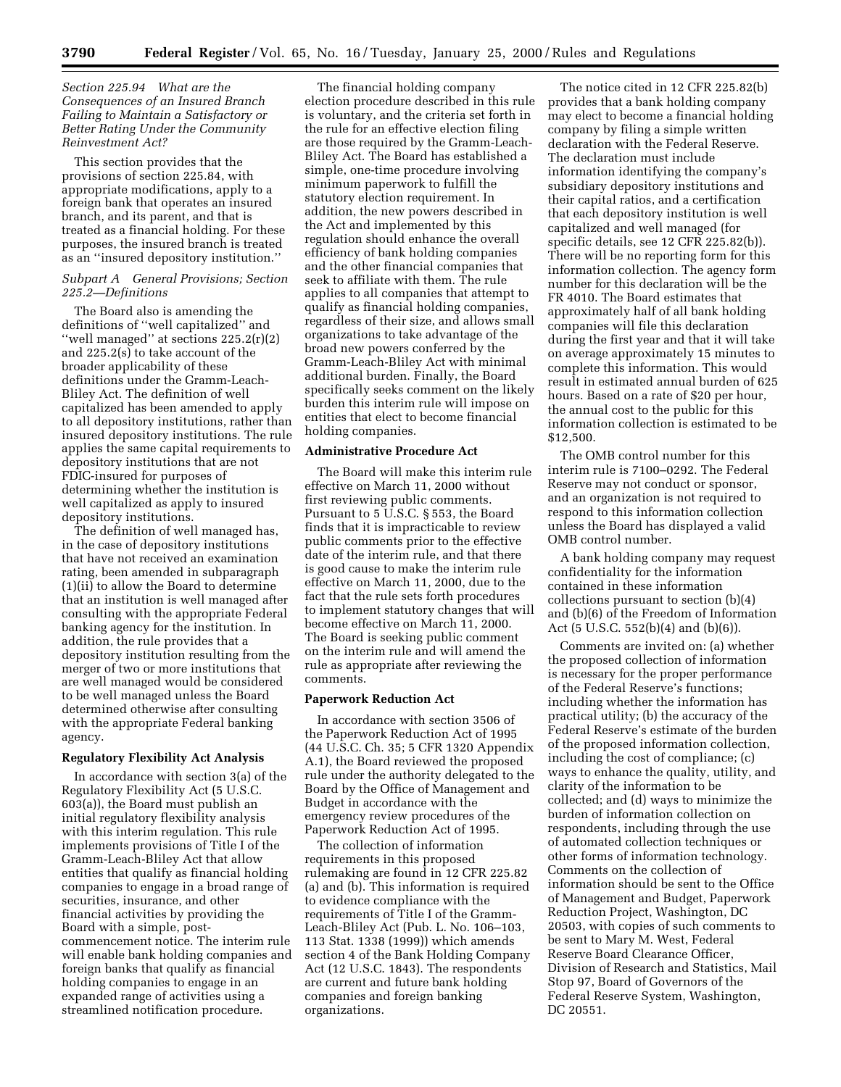## *Section 225.94 What are the Consequences of an Insured Branch Failing to Maintain a Satisfactory or Better Rating Under the Community Reinvestment Act?*

This section provides that the provisions of section 225.84, with appropriate modifications, apply to a foreign bank that operates an insured branch, and its parent, and that is treated as a financial holding. For these purposes, the insured branch is treated as an ''insured depository institution.''

### *Subpart A General Provisions; Section 225.2—Definitions*

The Board also is amending the definitions of ''well capitalized'' and ''well managed'' at sections 225.2(r)(2) and 225.2(s) to take account of the broader applicability of these definitions under the Gramm-Leach-Bliley Act. The definition of well capitalized has been amended to apply to all depository institutions, rather than insured depository institutions. The rule applies the same capital requirements to depository institutions that are not FDIC-insured for purposes of determining whether the institution is well capitalized as apply to insured depository institutions.

The definition of well managed has, in the case of depository institutions that have not received an examination rating, been amended in subparagraph (1)(ii) to allow the Board to determine that an institution is well managed after consulting with the appropriate Federal banking agency for the institution. In addition, the rule provides that a depository institution resulting from the merger of two or more institutions that are well managed would be considered to be well managed unless the Board determined otherwise after consulting with the appropriate Federal banking agency.

#### **Regulatory Flexibility Act Analysis**

In accordance with section 3(a) of the Regulatory Flexibility Act (5 U.S.C. 603(a)), the Board must publish an initial regulatory flexibility analysis with this interim regulation. This rule implements provisions of Title I of the Gramm-Leach-Bliley Act that allow entities that qualify as financial holding companies to engage in a broad range of securities, insurance, and other financial activities by providing the Board with a simple, postcommencement notice. The interim rule will enable bank holding companies and foreign banks that qualify as financial holding companies to engage in an expanded range of activities using a streamlined notification procedure.

The financial holding company election procedure described in this rule is voluntary, and the criteria set forth in the rule for an effective election filing are those required by the Gramm-Leach-Bliley Act. The Board has established a simple, one-time procedure involving minimum paperwork to fulfill the statutory election requirement. In addition, the new powers described in the Act and implemented by this regulation should enhance the overall efficiency of bank holding companies and the other financial companies that seek to affiliate with them. The rule applies to all companies that attempt to qualify as financial holding companies, regardless of their size, and allows small organizations to take advantage of the broad new powers conferred by the Gramm-Leach-Bliley Act with minimal additional burden. Finally, the Board specifically seeks comment on the likely burden this interim rule will impose on entities that elect to become financial holding companies.

### **Administrative Procedure Act**

The Board will make this interim rule effective on March 11, 2000 without first reviewing public comments. Pursuant to 5 U.S.C. § 553, the Board finds that it is impracticable to review public comments prior to the effective date of the interim rule, and that there is good cause to make the interim rule effective on March 11, 2000, due to the fact that the rule sets forth procedures to implement statutory changes that will become effective on March 11, 2000. The Board is seeking public comment on the interim rule and will amend the rule as appropriate after reviewing the comments.

#### **Paperwork Reduction Act**

In accordance with section 3506 of the Paperwork Reduction Act of 1995 (44 U.S.C. Ch. 35; 5 CFR 1320 Appendix A.1), the Board reviewed the proposed rule under the authority delegated to the Board by the Office of Management and Budget in accordance with the emergency review procedures of the Paperwork Reduction Act of 1995.

The collection of information requirements in this proposed rulemaking are found in 12 CFR 225.82 (a) and (b). This information is required to evidence compliance with the requirements of Title I of the Gramm-Leach-Bliley Act (Pub. L. No. 106–103, 113 Stat. 1338 (1999)) which amends section 4 of the Bank Holding Company Act (12 U.S.C. 1843). The respondents are current and future bank holding companies and foreign banking organizations.

The notice cited in 12 CFR 225.82(b) provides that a bank holding company may elect to become a financial holding company by filing a simple written declaration with the Federal Reserve. The declaration must include information identifying the company's subsidiary depository institutions and their capital ratios, and a certification that each depository institution is well capitalized and well managed (for specific details, see 12 CFR 225.82(b)). There will be no reporting form for this information collection. The agency form number for this declaration will be the FR 4010. The Board estimates that approximately half of all bank holding companies will file this declaration during the first year and that it will take on average approximately 15 minutes to complete this information. This would result in estimated annual burden of 625 hours. Based on a rate of \$20 per hour, the annual cost to the public for this information collection is estimated to be \$12,500.

The OMB control number for this interim rule is 7100–0292. The Federal Reserve may not conduct or sponsor, and an organization is not required to respond to this information collection unless the Board has displayed a valid OMB control number.

A bank holding company may request confidentiality for the information contained in these information collections pursuant to section (b)(4) and (b)(6) of the Freedom of Information Act (5 U.S.C. 552(b)(4) and (b)(6)).

Comments are invited on: (a) whether the proposed collection of information is necessary for the proper performance of the Federal Reserve's functions; including whether the information has practical utility; (b) the accuracy of the Federal Reserve's estimate of the burden of the proposed information collection, including the cost of compliance; (c) ways to enhance the quality, utility, and clarity of the information to be collected; and (d) ways to minimize the burden of information collection on respondents, including through the use of automated collection techniques or other forms of information technology. Comments on the collection of information should be sent to the Office of Management and Budget, Paperwork Reduction Project, Washington, DC 20503, with copies of such comments to be sent to Mary M. West, Federal Reserve Board Clearance Officer, Division of Research and Statistics, Mail Stop 97, Board of Governors of the Federal Reserve System, Washington, DC 20551.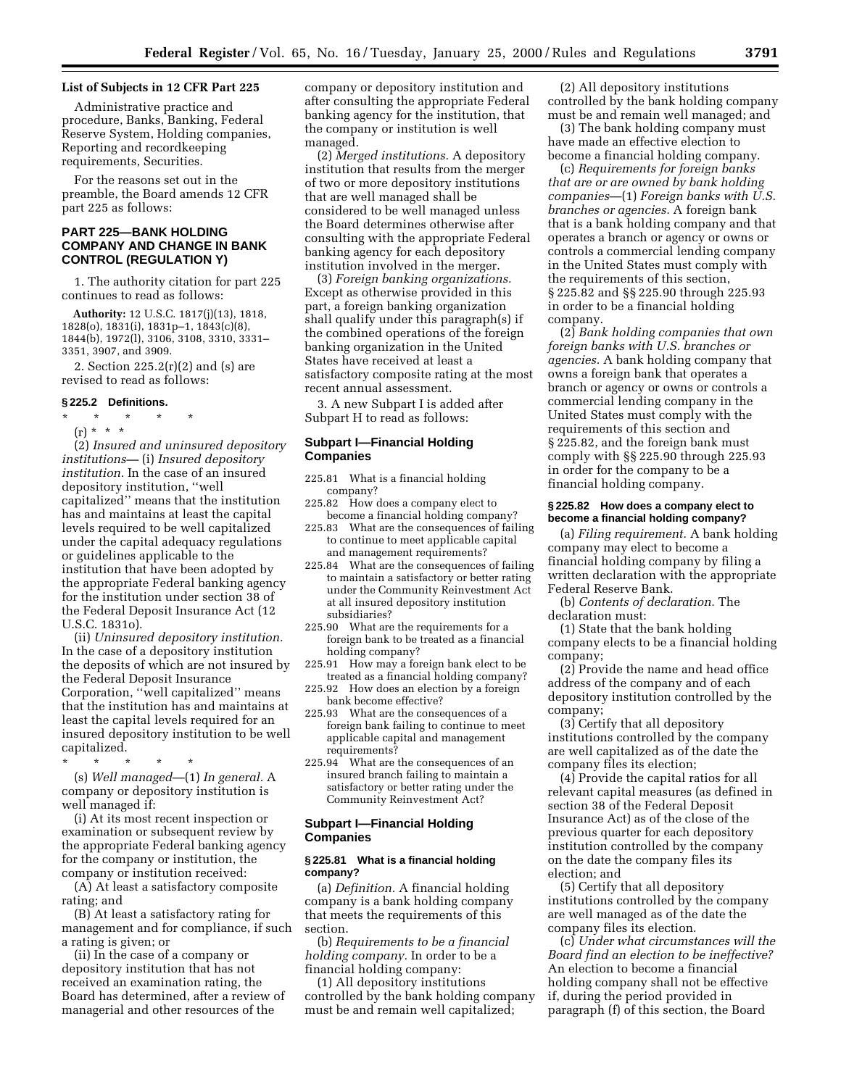### **List of Subjects in 12 CFR Part 225**

Administrative practice and procedure, Banks, Banking, Federal Reserve System, Holding companies, Reporting and recordkeeping requirements, Securities.

For the reasons set out in the preamble, the Board amends 12 CFR part 225 as follows:

# **PART 225—BANK HOLDING COMPANY AND CHANGE IN BANK CONTROL (REGULATION Y)**

1. The authority citation for part 225 continues to read as follows:

**Authority:** 12 U.S.C. 1817(j)(13), 1818, 1828(o), 1831(i), 1831p–1, 1843(c)(8), 1844(b), 1972(l), 3106, 3108, 3310, 3331– 3351, 3907, and 3909.

2. Section 225.2(r)(2) and (s) are revised to read as follows:

#### **§ 225.2 Definitions.**

\* \* \* \* \*

(r) \* \* \* (2) *Insured and uninsured depository institutions—* (i) *Insured depository institution.* In the case of an insured depository institution, ''well capitalized'' means that the institution has and maintains at least the capital levels required to be well capitalized under the capital adequacy regulations or guidelines applicable to the institution that have been adopted by the appropriate Federal banking agency for the institution under section 38 of the Federal Deposit Insurance Act (12 U.S.C. 1831o).

(ii) *Uninsured depository institution.* In the case of a depository institution the deposits of which are not insured by the Federal Deposit Insurance Corporation, ''well capitalized'' means that the institution has and maintains at least the capital levels required for an insured depository institution to be well capitalized.

\* \* \* \* \* (s) *Well managed*—(1) *In general.* A company or depository institution is well managed if:

(i) At its most recent inspection or examination or subsequent review by the appropriate Federal banking agency for the company or institution, the company or institution received:

(A) At least a satisfactory composite rating; and

(B) At least a satisfactory rating for management and for compliance, if such a rating is given; or

(ii) In the case of a company or depository institution that has not received an examination rating, the Board has determined, after a review of managerial and other resources of the

company or depository institution and after consulting the appropriate Federal banking agency for the institution, that the company or institution is well managed.

(2) *Merged institutions.* A depository institution that results from the merger of two or more depository institutions that are well managed shall be considered to be well managed unless the Board determines otherwise after consulting with the appropriate Federal banking agency for each depository institution involved in the merger.

(3) *Foreign banking organizations.* Except as otherwise provided in this part, a foreign banking organization shall qualify under this paragraph(s) if the combined operations of the foreign banking organization in the United States have received at least a satisfactory composite rating at the most recent annual assessment.

3. A new Subpart I is added after Subpart H to read as follows:

# **Subpart I—Financial Holding Companies**

- 225.81 What is a financial holding company?
- 225.82 How does a company elect to become a financial holding company?
- 225.83 What are the consequences of failing to continue to meet applicable capital and management requirements?
- 225.84 What are the consequences of failing to maintain a satisfactory or better rating under the Community Reinvestment Act at all insured depository institution subsidiaries?
- 225.90 What are the requirements for a foreign bank to be treated as a financial holding company?
- 225.91 How may a foreign bank elect to be treated as a financial holding company?
- 225.92 How does an election by a foreign bank become effective?
- 225.93 What are the consequences of a foreign bank failing to continue to meet applicable capital and management requirements?
- 225.94 What are the consequences of an insured branch failing to maintain a satisfactory or better rating under the Community Reinvestment Act?

## **Subpart I—Financial Holding Companies**

## **§ 225.81 What is a financial holding company?**

(a) *Definition.* A financial holding company is a bank holding company that meets the requirements of this section.

(b) *Requirements to be a financial holding company.* In order to be a financial holding company:

(1) All depository institutions controlled by the bank holding company must be and remain well capitalized;

(2) All depository institutions controlled by the bank holding company must be and remain well managed; and

(3) The bank holding company must have made an effective election to become a financial holding company.

(c) *Requirements for foreign banks that are or are owned by bank holding companies*—(1) *Foreign banks with U.S. branches or agencies.* A foreign bank that is a bank holding company and that operates a branch or agency or owns or controls a commercial lending company in the United States must comply with the requirements of this section, § 225.82 and §§ 225.90 through 225.93 in order to be a financial holding company.

(2) *Bank holding companies that own foreign banks with U.S. branches or agencies.* A bank holding company that owns a foreign bank that operates a branch or agency or owns or controls a commercial lending company in the United States must comply with the requirements of this section and § 225.82, and the foreign bank must comply with §§ 225.90 through 225.93 in order for the company to be a financial holding company.

#### **§ 225.82 How does a company elect to become a financial holding company?**

(a) *Filing requirement.* A bank holding company may elect to become a financial holding company by filing a written declaration with the appropriate Federal Reserve Bank.

(b) *Contents of declaration.* The declaration must:

(1) State that the bank holding company elects to be a financial holding company;

(2) Provide the name and head office address of the company and of each depository institution controlled by the company;

(3) Certify that all depository institutions controlled by the company are well capitalized as of the date the company files its election;

(4) Provide the capital ratios for all relevant capital measures (as defined in section 38 of the Federal Deposit Insurance Act) as of the close of the previous quarter for each depository institution controlled by the company on the date the company files its election; and

(5) Certify that all depository institutions controlled by the company are well managed as of the date the company files its election.

(c) *Under what circumstances will the Board find an election to be ineffective?* An election to become a financial holding company shall not be effective if, during the period provided in paragraph (f) of this section, the Board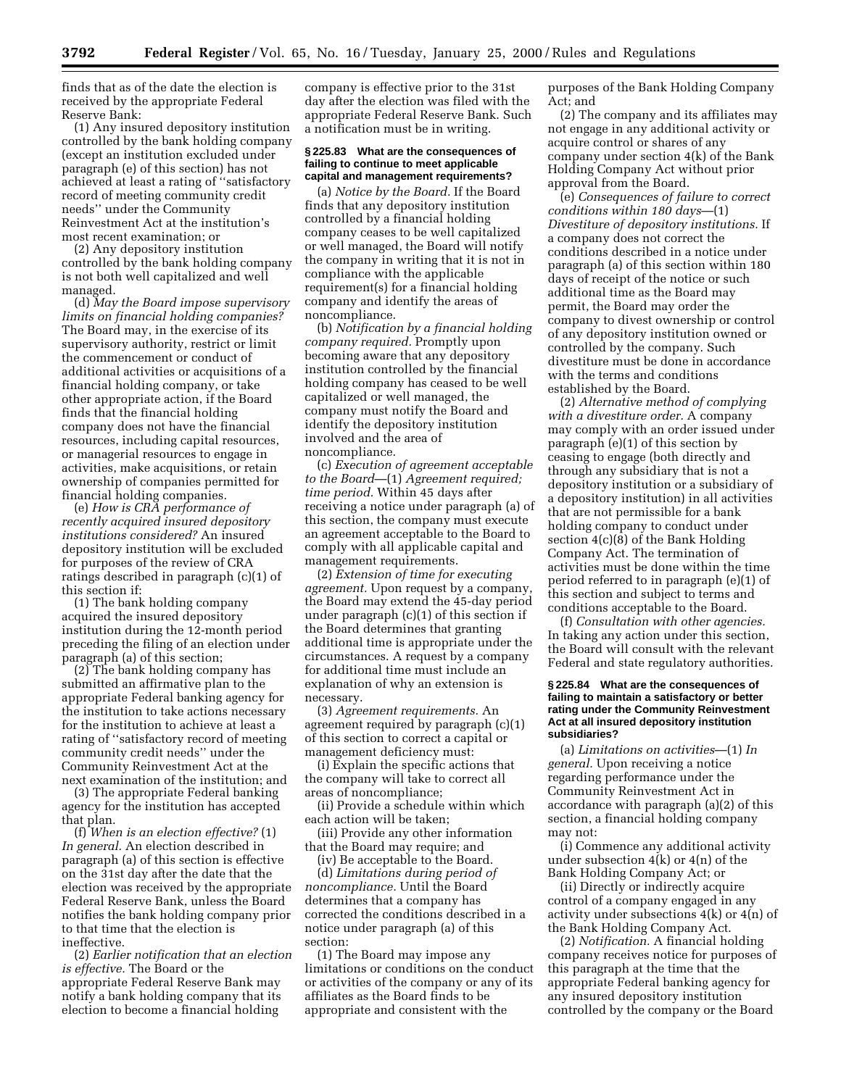finds that as of the date the election is received by the appropriate Federal Reserve Bank:

(1) Any insured depository institution controlled by the bank holding company (except an institution excluded under paragraph (e) of this section) has not achieved at least a rating of ''satisfactory record of meeting community credit needs'' under the Community Reinvestment Act at the institution's most recent examination; or

(2) Any depository institution controlled by the bank holding company is not both well capitalized and well managed.

(d) *May the Board impose supervisory limits on financial holding companies?* The Board may, in the exercise of its supervisory authority, restrict or limit the commencement or conduct of additional activities or acquisitions of a financial holding company, or take other appropriate action, if the Board finds that the financial holding company does not have the financial resources, including capital resources, or managerial resources to engage in activities, make acquisitions, or retain ownership of companies permitted for financial holding companies.

(e) *How is CRA performance of recently acquired insured depository institutions considered?* An insured depository institution will be excluded for purposes of the review of CRA ratings described in paragraph (c)(1) of this section if:

(1) The bank holding company acquired the insured depository institution during the 12-month period preceding the filing of an election under paragraph (a) of this section;

(2) The bank holding company has submitted an affirmative plan to the appropriate Federal banking agency for the institution to take actions necessary for the institution to achieve at least a rating of ''satisfactory record of meeting community credit needs'' under the Community Reinvestment Act at the next examination of the institution; and

(3) The appropriate Federal banking agency for the institution has accepted that plan.

(f) *When is an election effective?* (1) *In general.* An election described in paragraph (a) of this section is effective on the 31st day after the date that the election was received by the appropriate Federal Reserve Bank, unless the Board notifies the bank holding company prior to that time that the election is ineffective.

(2) *Earlier notification that an election is effective.* The Board or the appropriate Federal Reserve Bank may notify a bank holding company that its election to become a financial holding

company is effective prior to the 31st day after the election was filed with the appropriate Federal Reserve Bank. Such a notification must be in writing.

#### **§ 225.83 What are the consequences of failing to continue to meet applicable capital and management requirements?**

(a) *Notice by the Board.* If the Board finds that any depository institution controlled by a financial holding company ceases to be well capitalized or well managed, the Board will notify the company in writing that it is not in compliance with the applicable requirement(s) for a financial holding company and identify the areas of noncompliance.

(b) *Notification by a financial holding company required.* Promptly upon becoming aware that any depository institution controlled by the financial holding company has ceased to be well capitalized or well managed, the company must notify the Board and identify the depository institution involved and the area of noncompliance.

(c) *Execution of agreement acceptable to the Board*—(1) *Agreement required; time period.* Within 45 days after receiving a notice under paragraph (a) of this section, the company must execute an agreement acceptable to the Board to comply with all applicable capital and management requirements.

(2) *Extension of time for executing agreement.* Upon request by a company, the Board may extend the 45-day period under paragraph (c)(1) of this section if the Board determines that granting additional time is appropriate under the circumstances. A request by a company for additional time must include an explanation of why an extension is necessary.

(3) *Agreement requirements.* An agreement required by paragraph (c)(1) of this section to correct a capital or management deficiency must:

(i) Explain the specific actions that the company will take to correct all areas of noncompliance;

(ii) Provide a schedule within which each action will be taken;

(iii) Provide any other information that the Board may require; and

(iv) Be acceptable to the Board.

(d) *Limitations during period of noncompliance.* Until the Board determines that a company has corrected the conditions described in a notice under paragraph (a) of this section:

(1) The Board may impose any limitations or conditions on the conduct or activities of the company or any of its affiliates as the Board finds to be appropriate and consistent with the

purposes of the Bank Holding Company Act; and

(2) The company and its affiliates may not engage in any additional activity or acquire control or shares of any company under section 4(k) of the Bank Holding Company Act without prior approval from the Board.

(e) *Consequences of failure to correct conditions within 180 days*—(1) *Divestiture of depository institutions.* If a company does not correct the conditions described in a notice under paragraph (a) of this section within 180 days of receipt of the notice or such additional time as the Board may permit, the Board may order the company to divest ownership or control of any depository institution owned or controlled by the company. Such divestiture must be done in accordance with the terms and conditions established by the Board.

(2) *Alternative method of complying with a divestiture order.* A company may comply with an order issued under paragraph (e)(1) of this section by ceasing to engage (both directly and through any subsidiary that is not a depository institution or a subsidiary of a depository institution) in all activities that are not permissible for a bank holding company to conduct under section 4(c)(8) of the Bank Holding Company Act. The termination of activities must be done within the time period referred to in paragraph (e)(1) of this section and subject to terms and conditions acceptable to the Board.

(f) *Consultation with other agencies.* In taking any action under this section, the Board will consult with the relevant Federal and state regulatory authorities.

#### **§ 225.84 What are the consequences of failing to maintain a satisfactory or better rating under the Community Reinvestment Act at all insured depository institution subsidiaries?**

(a) *Limitations on activities*—(1) *In general.* Upon receiving a notice regarding performance under the Community Reinvestment Act in accordance with paragraph (a)(2) of this section, a financial holding company may not:

(i) Commence any additional activity under subsection  $4(k)$  or  $4(n)$  of the Bank Holding Company Act; or

(ii) Directly or indirectly acquire control of a company engaged in any activity under subsections 4(k) or 4(n) of the Bank Holding Company Act.

(2) *Notification.* A financial holding company receives notice for purposes of this paragraph at the time that the appropriate Federal banking agency for any insured depository institution controlled by the company or the Board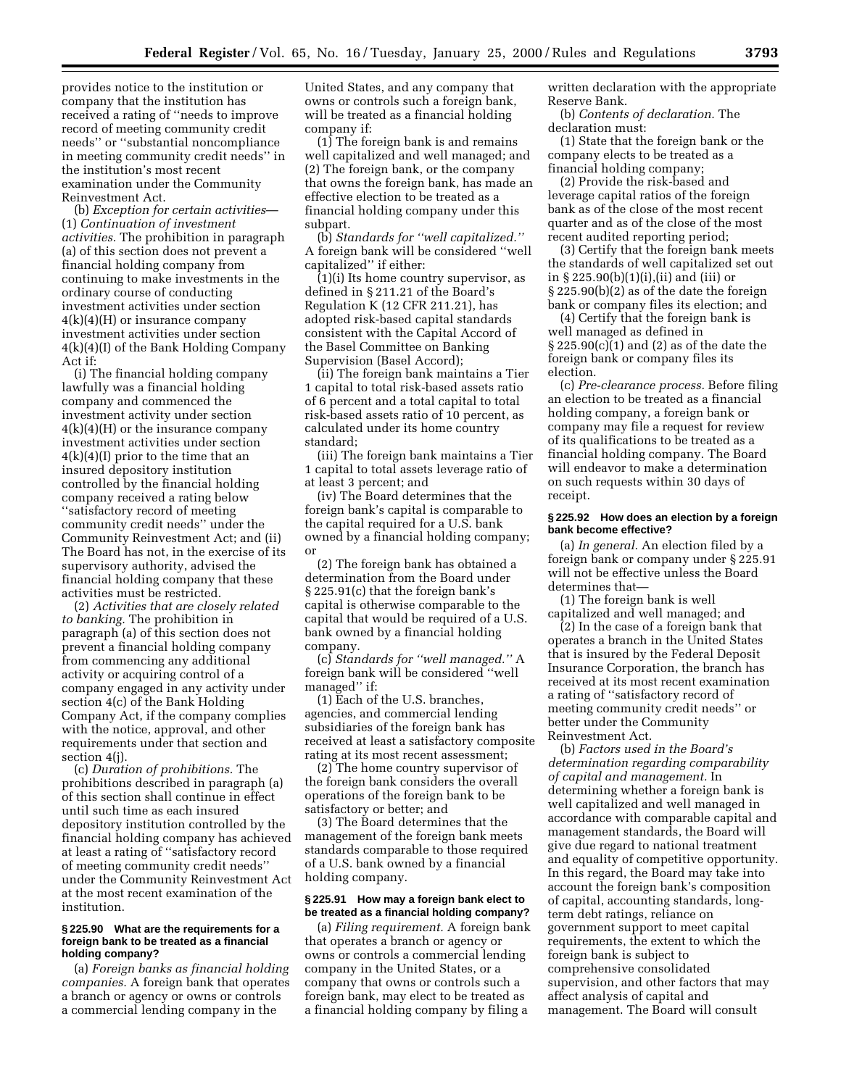provides notice to the institution or company that the institution has received a rating of ''needs to improve record of meeting community credit needs'' or ''substantial noncompliance in meeting community credit needs'' in the institution's most recent examination under the Community Reinvestment Act.

(b) *Exception for certain activities*— (1) *Continuation of investment activities.* The prohibition in paragraph (a) of this section does not prevent a financial holding company from continuing to make investments in the ordinary course of conducting investment activities under section  $4(k)(4)(H)$  or insurance company investment activities under section 4(k)(4)(I) of the Bank Holding Company Act if:

(i) The financial holding company lawfully was a financial holding company and commenced the investment activity under section 4(k)(4)(H) or the insurance company investment activities under section 4(k)(4)(I) prior to the time that an insured depository institution controlled by the financial holding company received a rating below ''satisfactory record of meeting community credit needs'' under the Community Reinvestment Act; and (ii) The Board has not, in the exercise of its supervisory authority, advised the financial holding company that these activities must be restricted.

(2) *Activities that are closely related to banking.* The prohibition in paragraph (a) of this section does not prevent a financial holding company from commencing any additional activity or acquiring control of a company engaged in any activity under section 4(c) of the Bank Holding Company Act, if the company complies with the notice, approval, and other requirements under that section and section 4(j).

(c) *Duration of prohibitions.* The prohibitions described in paragraph (a) of this section shall continue in effect until such time as each insured depository institution controlled by the financial holding company has achieved at least a rating of ''satisfactory record of meeting community credit needs'' under the Community Reinvestment Act at the most recent examination of the institution.

#### **§ 225.90 What are the requirements for a foreign bank to be treated as a financial holding company?**

(a) *Foreign banks as financial holding companies.* A foreign bank that operates a branch or agency or owns or controls a commercial lending company in the

United States, and any company that owns or controls such a foreign bank, will be treated as a financial holding company if:

(1) The foreign bank is and remains well capitalized and well managed; and (2) The foreign bank, or the company that owns the foreign bank, has made an effective election to be treated as a financial holding company under this subpart.

(b) *Standards for ''well capitalized.''* A foreign bank will be considered ''well capitalized'' if either:

 $(1)(i)$  Its home country supervisor, as defined in § 211.21 of the Board's Regulation K (12 CFR 211.21), has adopted risk-based capital standards consistent with the Capital Accord of the Basel Committee on Banking Supervision (Basel Accord);

(ii) The foreign bank maintains a Tier 1 capital to total risk-based assets ratio of 6 percent and a total capital to total risk-based assets ratio of 10 percent, as calculated under its home country standard;

(iii) The foreign bank maintains a Tier 1 capital to total assets leverage ratio of at least 3 percent; and

(iv) The Board determines that the foreign bank's capital is comparable to the capital required for a U.S. bank owned by a financial holding company; or

(2) The foreign bank has obtained a determination from the Board under § 225.91(c) that the foreign bank's capital is otherwise comparable to the capital that would be required of a U.S. bank owned by a financial holding company.

(c) *Standards for ''well managed.''* A foreign bank will be considered ''well managed'' if:

(1) Each of the U.S. branches, agencies, and commercial lending subsidiaries of the foreign bank has received at least a satisfactory composite rating at its most recent assessment;

(2) The home country supervisor of the foreign bank considers the overall operations of the foreign bank to be satisfactory or better; and

(3) The Board determines that the management of the foreign bank meets standards comparable to those required of a U.S. bank owned by a financial holding company.

#### **§ 225.91 How may a foreign bank elect to be treated as a financial holding company?**

(a) *Filing requirement.* A foreign bank that operates a branch or agency or owns or controls a commercial lending company in the United States, or a company that owns or controls such a foreign bank, may elect to be treated as a financial holding company by filing a

written declaration with the appropriate Reserve Bank.

(b) *Contents of declaration.* The declaration must:

(1) State that the foreign bank or the company elects to be treated as a financial holding company;

(2) Provide the risk-based and leverage capital ratios of the foreign bank as of the close of the most recent quarter and as of the close of the most recent audited reporting period;

(3) Certify that the foreign bank meets the standards of well capitalized set out in § 225.90(b)(1)(i),(ii) and (iii) or § 225.90(b)(2) as of the date the foreign bank or company files its election; and

(4) Certify that the foreign bank is well managed as defined in § 225.90(c)(1) and (2) as of the date the foreign bank or company files its election.

(c) *Pre-clearance process.* Before filing an election to be treated as a financial holding company, a foreign bank or company may file a request for review of its qualifications to be treated as a financial holding company. The Board will endeavor to make a determination on such requests within 30 days of receipt.

#### **§ 225.92 How does an election by a foreign bank become effective?**

(a) *In general.* An election filed by a foreign bank or company under § 225.91 will not be effective unless the Board determines that—

(1) The foreign bank is well capitalized and well managed; and

(2) In the case of a foreign bank that operates a branch in the United States that is insured by the Federal Deposit Insurance Corporation, the branch has received at its most recent examination a rating of ''satisfactory record of meeting community credit needs'' or better under the Community Reinvestment Act.

(b) *Factors used in the Board's determination regarding comparability of capital and management.* In determining whether a foreign bank is well capitalized and well managed in accordance with comparable capital and management standards, the Board will give due regard to national treatment and equality of competitive opportunity. In this regard, the Board may take into account the foreign bank's composition of capital, accounting standards, longterm debt ratings, reliance on government support to meet capital requirements, the extent to which the foreign bank is subject to comprehensive consolidated supervision, and other factors that may affect analysis of capital and management. The Board will consult